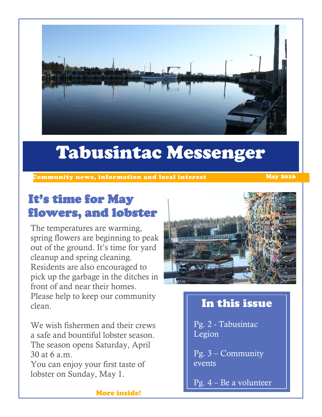

# Tabusintac Messenger

XCommunity news, information and local interest May 2016

## It's time for May flowers, and lobster

The temperatures are warming, spring flowers are beginning to peak out of the ground. It's time for yard cleanup and spring cleaning. Residents are also encouraged to pick up the garbage in the ditches in front of and near their homes. Please help to keep our community clean.

We wish fishermen and their crews a safe and bountiful lobster season. The season opens Saturday, April 30 at 6 a.m.

You can enjoy your first taste of lobster on Sunday, May 1.



### In this issue

Pg. 2 - Tabusintac Legion

Pg. 3 – Community events

Pg. 4 – Be a volunteer

More inside!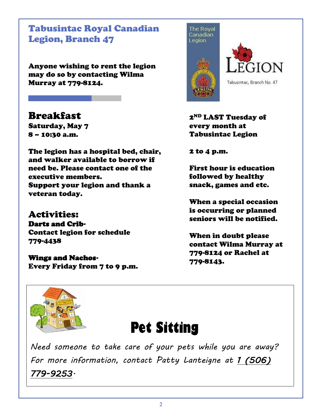Tabusintac Royal Canadian Legion, Branch 47

Anyone wishing to rent the legion may do so by contacting Wilma Murray at 779-8124.

Breakfast Saturday, May 7 8 – 10:30 a.m.

The legion has a hospital bed, chair, and walker available to borrow if need be. Please contact one of the executive members. Support your legion and thank a veteran today.

Activities: Darts and Crib-Contact legion for schedule 779-4438

Wings and Nachos-Every Friday from 7 to 9 p.m.





2<sup>ND</sup> LAST Tuesday of every month at Tabusintac Legion

2 to 4 p.m.

First hour is education followed by healthy snack, games and etc.

When a special occasion is occurring or planned seniors will be notified.

When in doubt please contact Wilma Murray at 779-8124 or Rachel at 779-8143.



## **Pet Sitting**

*Need someone to take care of your pets while you are away? For more information, contact Patty Lanteigne at 1 (506) 779-9253.*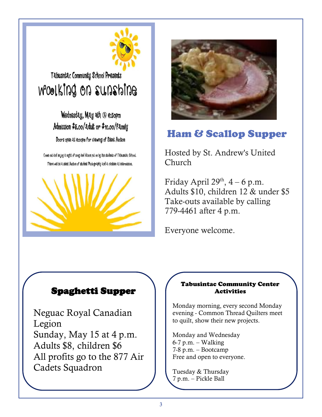

### Tabusintac Community School Presents moolking on sunshine

Wednesday, May 2th @ e:30pm Admission \$5.00/adult or \$10.00/family Doors open at e:oopm for Viewing of Silent Auction

Come out and enjoy a night of song and dance put on by the students of Tabusntac School. There will be a silent Auction of student Photography and a canteen at intermission.





### Ham & Scallop Supper

Hosted by St. Andrew's United Church

Friday April  $29<sup>th</sup>$ , 4 – 6 p.m. Adults \$10, children 12 & under \$5 Take-outs available by calling 779-4461 after 4 p.m.

Everyone welcome.

#### Spaghetti Supper

Neguac Royal Canadian Legion Sunday, May 15 at 4 p.m. Adults \$8, children \$6 All profits go to the 877 Air Cadets Squadron

#### Tabusintac Community Center Activities

Monday morning, every second Monday evening - Common Thread Quilters meet to quilt, show their new projects.

Monday and Wednesday  $6-7$  p.m. – Walking 7-8 p.m. – Bootcamp Free and open to everyone.

Tuesday & Thursday 7 p.m. – Pickle Ball